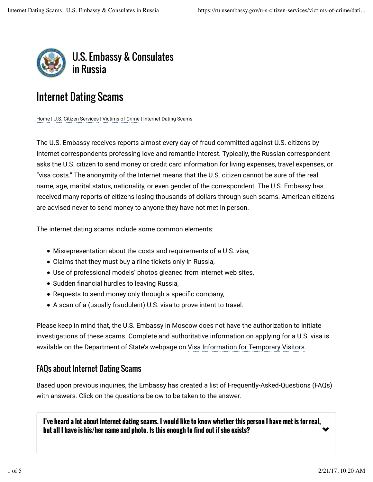

# Internet Dating Scams

Home | U.S. Citizen Services | Victims of Crime | Internet Dating Scams

The U.S. Embassy receives reports almost every day of fraud committed against U.S. citizens by Internet correspondents professing love and romantic interest. Typically, the Russian correspondent asks the U.S. citizen to send money or credit card information for living expenses, travel expenses, or "visa costs." The anonymity of the Internet means that the U.S. citizen cannot be sure of the real name, age, marital status, nationality, or even gender of the correspondent. The U.S. Embassy has received many reports of citizens losing thousands of dollars through such scams. American citizens are advised never to send money to anyone they have not met in person.

The internet dating scams include some common elements:

- Misrepresentation about the costs and requirements of a U.S. visa,
- Claims that they must buy airline tickets only in Russia,
- Use of professional models' photos gleaned from internet web sites,
- Sudden financial hurdles to leaving Russia,
- $\bullet$  Requests to send money only through a specific company,
- A scan of a (usually fraudulent) U.S. visa to prove intent to travel.

Please keep in mind that, the U.S. Embassy in Moscow does not have the authorization to initiate investigations of these scams. Complete and authoritative information on applying for a U.S. visa is available on the Department of State's webpage on Visa Information for Temporary Visitors.

## FAQs about Internet Dating Scams

Based upon previous inquiries, the Embassy has created a list of Frequently-Asked-Questions (FAQs) with answers. Click on the questions below to be taken to the answer.

 $\blacktriangledown$ **I've heard a lot about Internet dating scams. I would like to know whether this person I have met is for real, but all I have is his/her name and photo. Is this enough to find out if she exists?**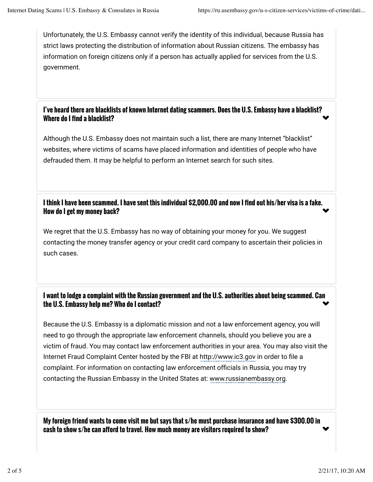Unfortunately, the U.S. Embassy cannot verify the identity of this individual, because Russia has strict laws protecting the distribution of information about Russian citizens. The embassy has information on foreign citizens only if a person has actually applied for services from the U.S. government.

#### $\blacktriangledown$ **I've heard there are blacklists of known Internet dating scammers. Does the U.S. Embassy have a blacklist? Where do I find a blacklist?**

Although the U.S. Embassy does not maintain such a list, there are many Internet "blacklist" websites, where victims of scams have placed information and identities of people who have defrauded them. It may be helpful to perform an Internet search for such sites.

 $\blacktriangledown$ **I think I have been scammed. I have sent this individual \$2,000.00 and now I find out his/her visa is a fake. How do I get my money back?**

We regret that the U.S. Embassy has no way of obtaining your money for you. We suggest contacting the money transfer agency or your credit card company to ascertain their policies in such cases.

#### $\blacktriangledown$ **I want to lodge a complaint with the Russian government and the U.S. authorities about being scammed. Can the U.S. Embassy help me? Who do I contact?**

Because the U.S. Embassy is a diplomatic mission and not a law enforcement agency, you will need to go through the appropriate law enforcement channels, should you believe you are a victim of fraud. You may contact law enforcement authorities in your area. You may also visit the Internet Fraud Complaint Center hosted by the FBI at http://www.ic3.gov in order to file a complaint. For information on contacting law enforcement officials in Russia, you may try contacting the Russian Embassy in the United States at: www.russianembassy.org.

 $\blacktriangledown$ **My foreign friend wants to come visit me but says that s/he must purchase insurance and have \$300.00 in** cash to show s/he can afford to travel. How much money are visitors required to show?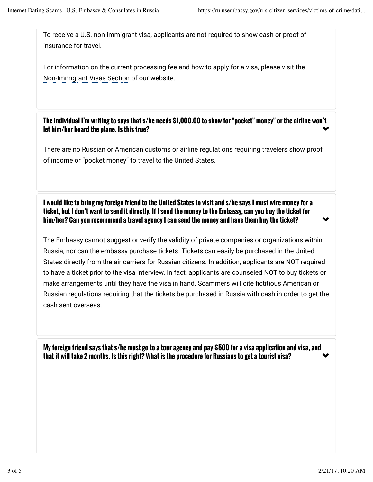To receive a U.S. non-immigrant visa, applicants are not required to show cash or proof of insurance for travel.

For information on the current processing fee and how to apply for a visa, please visit the Non-Immigrant Visas Section of our website.

 $\blacktriangledown$ **The individual I'm writing to says that s/he needs \$1,000.00 to show for "pocket" money" or the airline won't let him/her board the plane. Is this true?**

There are no Russian or American customs or airline regulations requiring travelers show proof of income or "pocket money" to travel to the United States.

**I would like to bring my foreign friend to the United States to visit and s/he says I must wire money for a ticket, but I don't want to send it directly. If I send the money to the Embassy, can you buy the ticket for him/her? Can you recommend a travel agency I can send the money and have them buy the ticket?**

The Embassy cannot suggest or verify the validity of private companies or organizations within Russia, nor can the embassy purchase tickets. Tickets can easily be purchased in the United States directly from the air carriers for Russian citizens. In addition, applicants are NOT required to have a ticket prior to the visa interview. In fact, applicants are counseled NOT to buy tickets or make arrangements until they have the visa in hand. Scammers will cite fictitious American or Russian regulations requiring that the tickets be purchased in Russia with cash in order to get the cash sent overseas.

 $\blacktriangledown$ **My foreign friend says that s/he must go to a tour agency and pay \$500 for a visa application and visa, and that it will take 2 months. Is this right? What is the procedure for Russians to get a tourist visa?**

 $\blacktriangledown$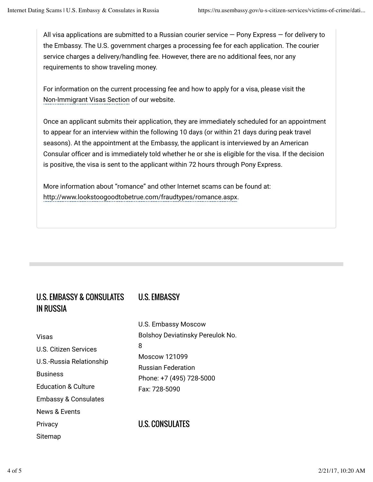All visa applications are submitted to a Russian courier service  $-$  Pony Express  $-$  for delivery to the Embassy. The U.S. government charges a processing fee for each application. The courier service charges a delivery/handling fee. However, there are no additional fees, nor any requirements to show traveling money.

For information on the current processing fee and how to apply for a visa, please visit the Non-Immigrant Visas Section of our website.

Once an applicant submits their application, they are immediately scheduled for an appointment to appear for an interview within the following 10 days (or within 21 days during peak travel seasons). At the appointment at the Embassy, the applicant is interviewed by an American Consular officer and is immediately told whether he or she is eligible for the visa. If the decision is positive, the visa is sent to the applicant within 72 hours through Pony Express.

More information about "romance" and other Internet scams can be found at: http://www.lookstoogoodtobetrue.com/fraudtypes/romance.aspx.

## U.S. EMBASSY & CONSULATES IN RUSSIA

Visas U.S. Citizen Services U.S.-Russia Relationship **Business** Education & Culture Embassy & Consulates News & Events **Privacy** 

Sitemap

## U.S. EMBASSY

U.S. Embassy Moscow Bolshoy Deviatinsky Pereulok No. 8 Moscow 121099 Russian Federation Phone: +7 (495) 728-5000 Fax: 728-5090

## U.S. CONSULATES